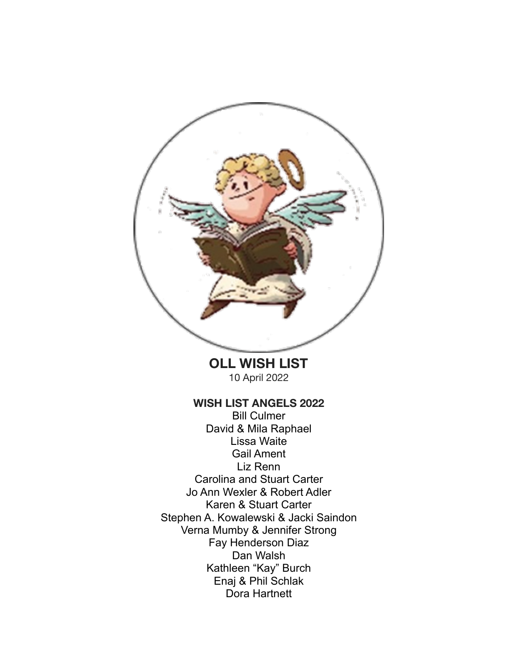

**OLL WISH LIST**  10 April 2022

#### **WISH LIST ANGELS 2022**

Bill Culmer David & Mila Raphael Lissa Waite Gail Ament Liz Renn Carolina and Stuart Carter Jo Ann Wexler & Robert Adler Karen & Stuart Carter Stephen A. Kowalewski & Jacki Saindon Verna Mumby & Jennifer Strong Fay Henderson Diaz Dan Walsh Kathleen "Kay" Burch Enaj & Phil Schlak Dora Hartnett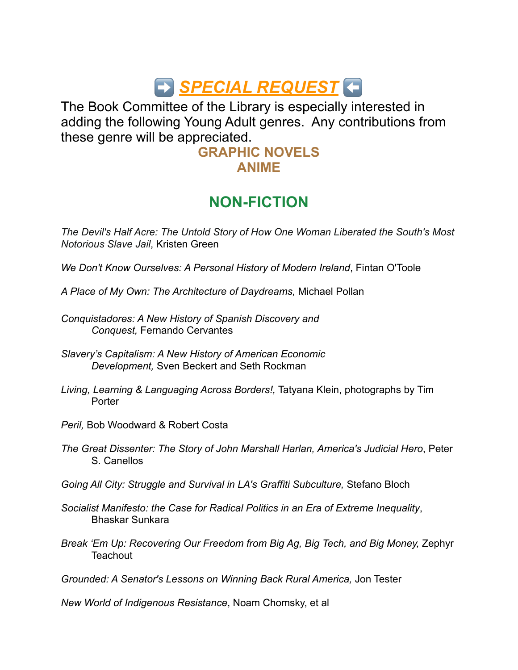# $\bigoplus$  **SPECIAL REQUEST**

The Book Committee of the Library is especially interested in adding the following Young Adult genres. Any contributions from these genre will be appreciated.

#### **GRAPHIC NOVELS ANIME**

## **NON-FICTION**

*[The Devil's Half Acre: The Untold Story of How One Woman Liberated the South's Most](https://www.amazon.com/Devils-Half-Acre-Liberated-Notorious-ebook/dp/B09BN3RDV2/ref=sr_1_3?crid=2WEC1581QQN36&keywords=devils+half+acre+book&qid=1649520159&sprefix=devils+half+%2Caps%2C164&sr=8-3)  [Notorious Slave Jail](https://www.amazon.com/Devils-Half-Acre-Liberated-Notorious-ebook/dp/B09BN3RDV2/ref=sr_1_3?crid=2WEC1581QQN36&keywords=devils+half+acre+book&qid=1649520159&sprefix=devils+half+%2Caps%2C164&sr=8-3)*, Kristen Green

*We Don't Know Ourselves: A Personal History of Modern Ireland*, Fintan O'Toole

- *A Place of My Own: The Architecture of Daydreams,* Michael Pollan
- *Conquistadores: A New History of Spanish Discovery and Conquest,* Fernando Cervantes
- *Slavery's Capitalism: A New History of American Economic Development,* Sven Beckert and Seth Rockman
- *Living, Learning & Languaging Across Borders!,* Tatyana Klein, photographs by Tim **Porter**
- *Peril,* Bob Woodward & Robert Costa
- *The Great Dissenter: The Story of John Marshall Harlan, America's Judicial Hero*, Peter S. Canellos
- *Going All City: Struggle and Survival in LA's Graffiti Subculture,* Stefano Bloch
- *Socialist Manifesto: the Case for Radical Politics in an Era of Extreme Inequality*, Bhaskar Sunkara
- *Break 'Em Up: Recovering Our Freedom from Big Ag, Big Tech, and Big Money,* Zephyr **Teachout**

*Grounded: A Senator's Lessons on Winning Back Rural America,* Jon Tester

*New World of Indigenous Resistance*, Noam Chomsky, et al